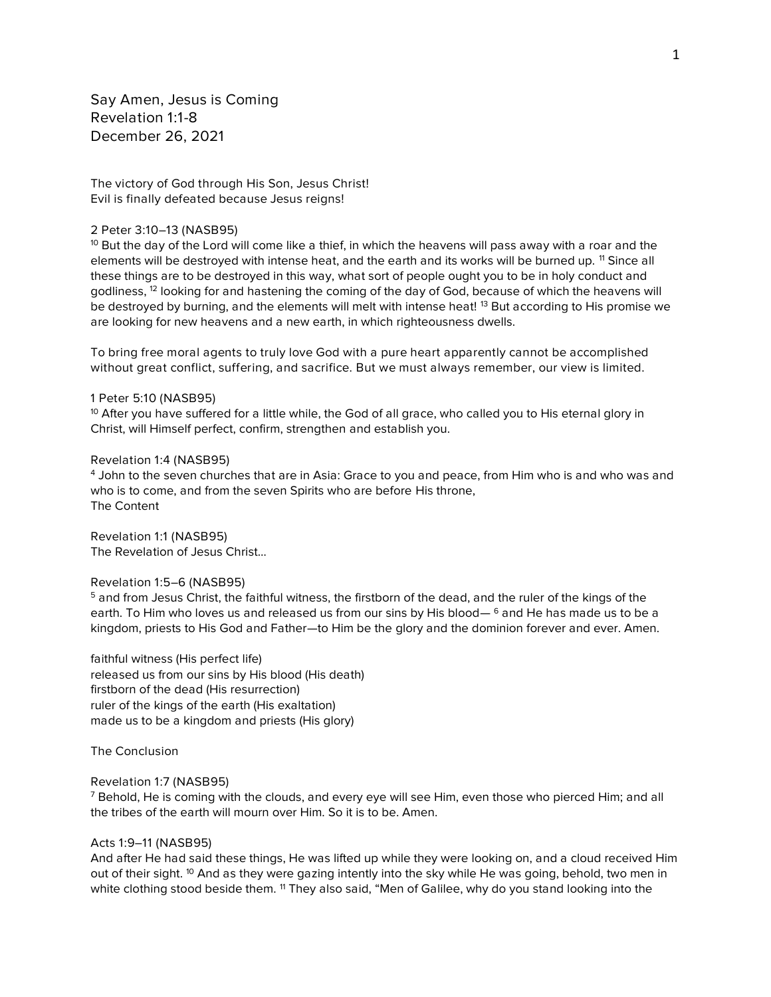*Say Amen, Jesus is Coming Revelation 1:1-8 December 26, 2021*

*The victory of God through His Son, Jesus Christ! Evil is finally defeated because Jesus reigns!*

### *2 Peter 3:10–13 (NASB95)*

*<sup>10</sup> But the day of the Lord will come like a thief, in which the heavens will pass away with a roar and the elements will be destroyed with intense heat, and the earth and its works will be burned up. <sup>11</sup> Since all these things are to be destroyed in this way, what sort of people ought you to be in holy conduct and godliness, <sup>12</sup> looking for and hastening the coming of the day of God, because of which the heavens will be destroyed by burning, and the elements will melt with intense heat! <sup>13</sup> But according to His promise we are looking for new heavens and a new earth, in which righteousness dwells.*

*To bring free moral agents to truly love God with a pure heart apparently cannot be accomplished without great conflict, suffering, and sacrifice. But we must always remember, our view is limited.*

#### *1 Peter 5:10 (NASB95)*

*<sup>10</sup> After you have suffered for a little while, the God of all grace, who called you to His eternal glory in Christ, will Himself perfect, confirm, strengthen and establish you.*

#### *Revelation 1:4 (NASB95)*

*<sup>4</sup> John to the seven churches that are in Asia: Grace to you and peace, from Him who is and who was and who is to come, and from the seven Spirits who are before His throne, The Content*

*Revelation 1:1 (NASB95) The Revelation of Jesus Christ…*

### *Revelation 1:5–6 (NASB95)*

*<sup>5</sup> and from Jesus Christ, the faithful witness, the firstborn of the dead, and the ruler of the kings of the earth. To Him who loves us and released us from our sins by His blood— <sup>6</sup> and He has made us to be a kingdom, priests to His God and Father—to Him be the glory and the dominion forever and ever. Amen.*

*faithful witness (His perfect life) released us from our sins by His blood (His death) firstborn of the dead (His resurrection) ruler of the kings of the earth (His exaltation) made us to be a kingdom and priests (His glory)*

*The Conclusion*

## *Revelation 1:7 (NASB95)*

*<sup>7</sup> Behold, He is coming with the clouds, and every eye will see Him, even those who pierced Him; and all the tribes of the earth will mourn over Him. So it is to be. Amen.*

#### *Acts 1:9–11 (NASB95)*

*And after He had said these things, He was lifted up while they were looking on, and a cloud received Him out of their sight. <sup>10</sup> And as they were gazing intently into the sky while He was going, behold, two men in white clothing stood beside them. <sup>11</sup> They also said, "Men of Galilee, why do you stand looking into the*